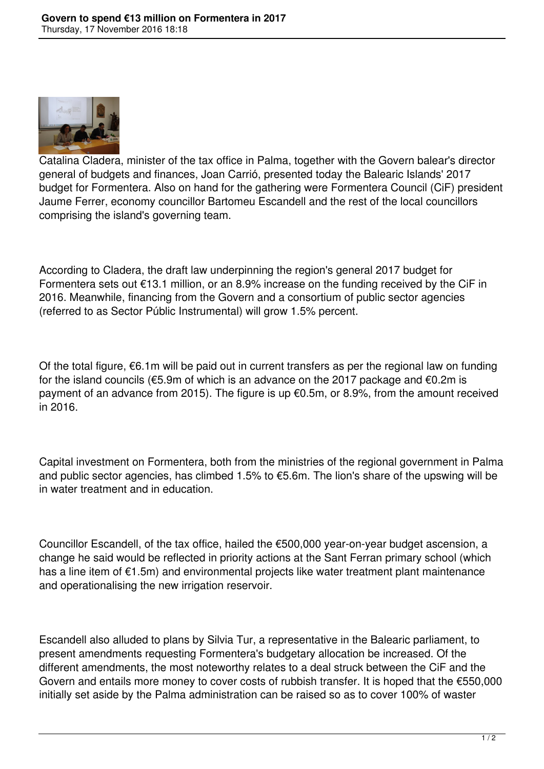

Catalina Cladera, minister of the tax office in Palma, together with the Govern balear's director general of budgets and finances, Joan Carrió, presented today the Balearic Islands' 2017 budget for Formentera. Also on hand for the gathering were Formentera Council (CiF) president Jaume Ferrer, economy councillor Bartomeu Escandell and the rest of the local councillors comprising the island's governing team.

According to Cladera, the draft law underpinning the region's general 2017 budget for Formentera sets out €13.1 million, or an 8.9% increase on the funding received by the CiF in 2016. Meanwhile, financing from the Govern and a consortium of public sector agencies (referred to as Sector Públic Instrumental) will grow 1.5% percent.

Of the total figure,  $\epsilon$ 6.1m will be paid out in current transfers as per the regional law on funding for the island councils (€5.9m of which is an advance on the 2017 package and €0.2m is payment of an advance from 2015). The figure is up €0.5m, or 8.9%, from the amount received in 2016.

Capital investment on Formentera, both from the ministries of the regional government in Palma and public sector agencies, has climbed 1.5% to €5.6m. The lion's share of the upswing will be in water treatment and in education.

Councillor Escandell, of the tax office, hailed the €500,000 year-on-year budget ascension, a change he said would be reflected in priority actions at the Sant Ferran primary school (which has a line item of €1.5m) and environmental projects like water treatment plant maintenance and operationalising the new irrigation reservoir.

Escandell also alluded to plans by Silvia Tur, a representative in the Balearic parliament, to present amendments requesting Formentera's budgetary allocation be increased. Of the different amendments, the most noteworthy relates to a deal struck between the CiF and the Govern and entails more money to cover costs of rubbish transfer. It is hoped that the €550,000 initially set aside by the Palma administration can be raised so as to cover 100% of waster